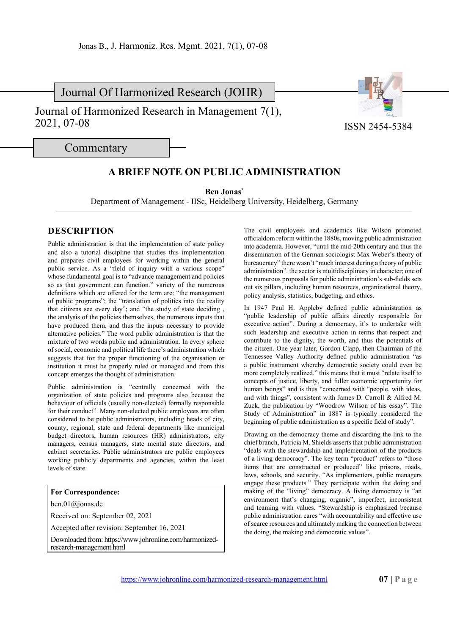Journal Of Harmonized Research (JOHR)

Journal of Harmonized Research in Management 7(1), 2021, 07-08



**Commentary** 

## **A BRIEF NOTE ON PUBLIC ADMINISTRATION**

**Ben Jonas\***

Department of Management - IISc, Heidelberg University, Heidelberg, Germany

## **DESCRIPTION**

Public administration is that the implementation of state policy and also a tutorial discipline that studies this implementation and prepares civil employees for working within the general public service. As a "field of inquiry with a various scope" whose fundamental goal is to "advance management and policies so as that government can function." variety of the numerous definitions which are offered for the term are: "the management of public programs"; the "translation of politics into the reality that citizens see every day"; and "the study of state deciding , the analysis of the policies themselves, the numerous inputs that have produced them, and thus the inputs necessary to provide alternative policies." The word public administration is that the mixture of two words public and administration. In every sphere of social, economic and political life there's administration which suggests that for the proper functioning of the organisation or institution it must be properly ruled or managed and from this concept emerges the thought of administration.

Public administration is "centrally concerned with the organization of state policies and programs also because the behaviour of officials (usually non-elected) formally responsible for their conduct". Many non-elected public employees are often considered to be public administrators, including heads of city, county, regional, state and federal departments like municipal budget directors, human resources (HR) administrators, city managers, census managers, state mental state directors, and cabinet secretaries. Public administrators are public employees working publicly departments and agencies, within the least levels of state.

## **For Correspondence:**

ben.01@jonas.de

Received on: September 02, 2021

Accepted after revision: September 16, 2021

Downloaded from: https://www.johronline.com/harmonizedresearch-management.html

The civil employees and academics like Wilson promoted officialdom reform within the 1880s, moving public administration into academia. However, "until the mid-20th century and thus the dissemination of the German sociologist Max Weber's theory of bureaucracy" there wasn't "much interest during a theory of public administration". the sector is multidisciplinary in character; one of the numerous proposals for public administration's sub-fields sets out six pillars, including human resources, organizational theory, policy analysis, statistics, budgeting, and ethics.

In 1947 Paul H. Appleby defined public administration as "public leadership of public affairs directly responsible for executive action". During a democracy, it's to undertake with such leadership and executive action in terms that respect and contribute to the dignity, the worth, and thus the potentials of the citizen. One year later, Gordon Clapp, then Chairman of the Tennessee Valley Authority defined public administration "as a public instrument whereby democratic society could even be more completely realized." this means that it must "relate itself to concepts of justice, liberty, and fuller economic opportunity for human beings" and is thus "concerned with "people, with ideas, and with things", consistent with James D. Carroll & Alfred M. Zuck, the publication by "Woodrow Wilson of his essay". The Study of Administration" in 1887 is typically considered the beginning of public administration as a specific field of study".

Drawing on the democracy theme and discarding the link to the chief branch, Patricia M. Shields asserts that public administration "deals with the stewardship and implementation of the products of a living democracy". The key term "product" refers to "those items that are constructed or produced" like prisons, roads, laws, schools, and security. "As implementers, public managers engage these products." They participate within the doing and making of the "living" democracy. A living democracy is "an environment that's changing, organic", imperfect, inconsistent and teaming with values. "Stewardship is emphasized because public administration cares "with accountability and effective use of scarce resources and ultimately making the connection between the doing, the making and democratic values".